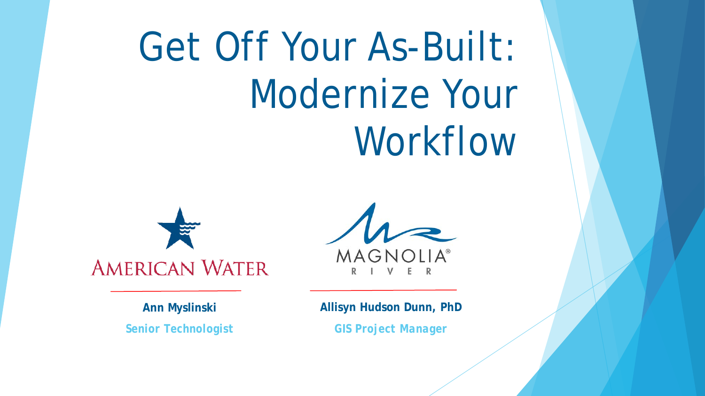# Get Off Your As-Built: Modernize Your Workflow





#### **Allisyn Hudson Dunn, PhD**

*GIS Project Manager*

**Ann Myslinski** *Senior Technologist*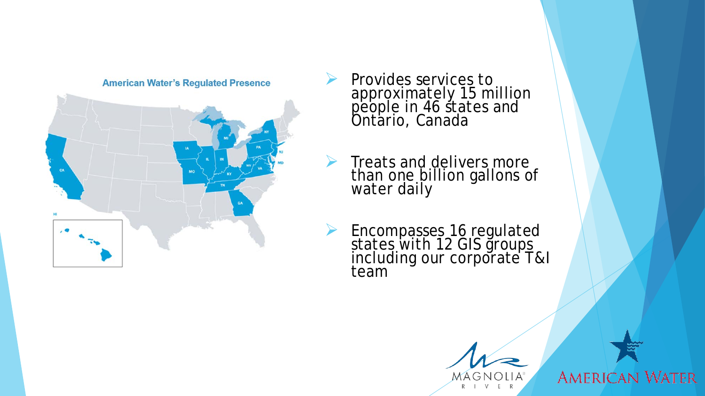

**American Water's Regulated Presence** 

- Provides services to approximately 15 million people in 46 states and Ontario, Canada
- $\triangleright$  Treats and delivers more than one billion gallons of water daily
- ▶ Encompasses 16 regulated states with 12 GIS groups including our corporate T&I team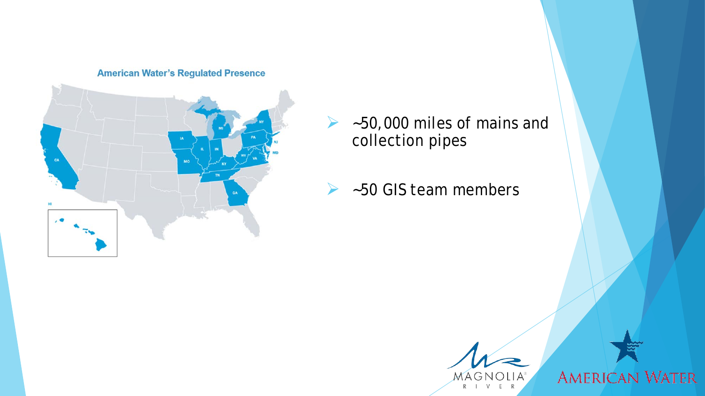**American Water's Regulated Presence** 



- $\blacktriangleright$  ~50,000 miles of mains and collection pipes
- $\blacktriangleright$  ~50 GIS team members

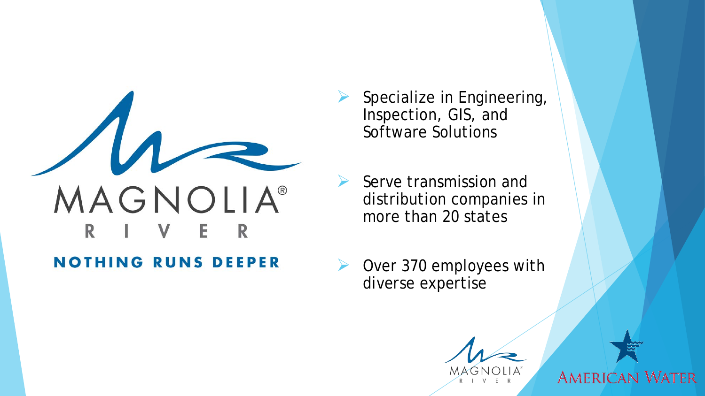

#### **NOTHING RUNS DEEPER**

- Specialize in Engineering, Inspection, GIS, and Software Solutions
- Serve transmission and distribution companies in more than 20 states
- ▶ Over 370 employees with diverse expertise

MAG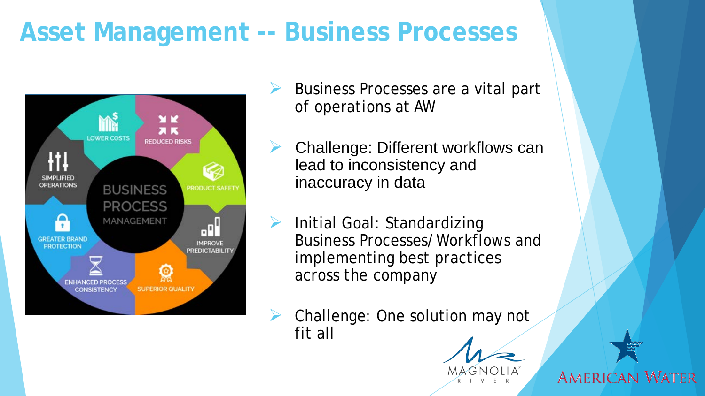# **Asset Management -- Business Processes**



- Business Processes are a vital part of operations at AW
- Challenge: Different workflows can lead to inconsistency and inaccuracy in data
- Initial Goal: Standardizing Business Processes/Workflows and implementing best practices across the company
- Challenge: One solution may not fit all

MAGN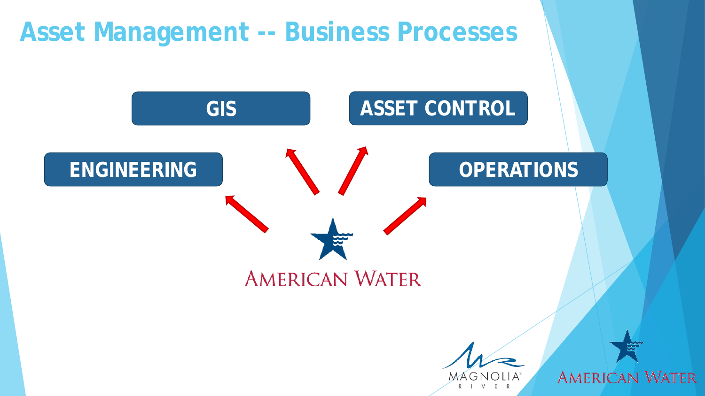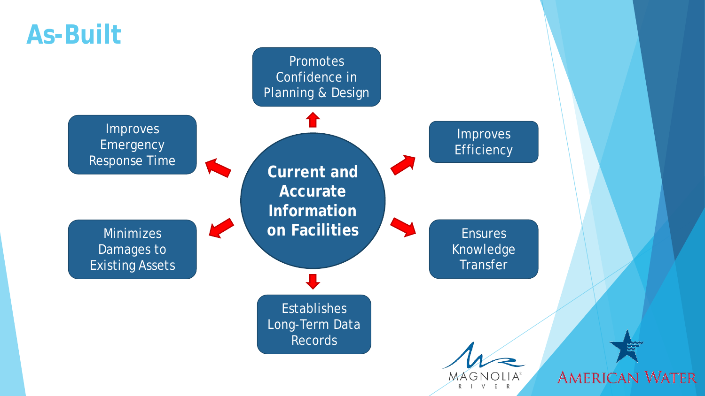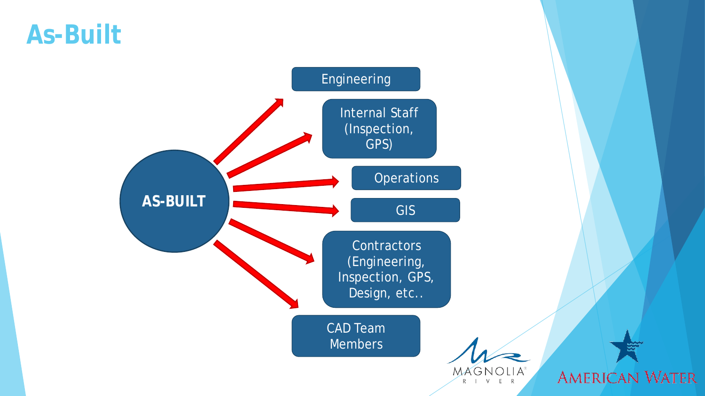#### **As-Built**

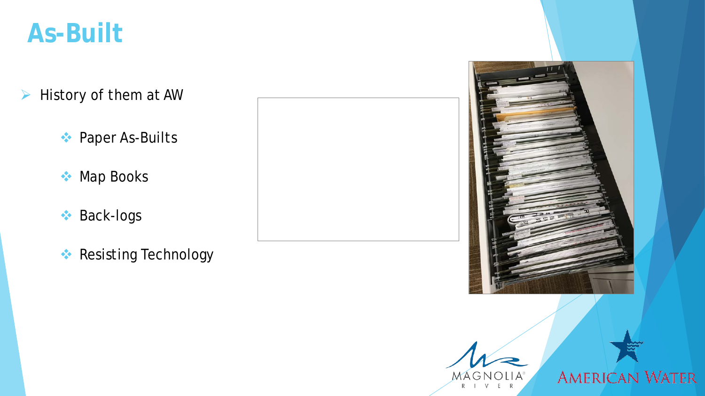### **As-Built**

- $\triangleright$  History of them at AW
	- **◆ Paper As-Builts**
	- **Map Books**
	- **Back-logs**
	- **Resisting Technology**



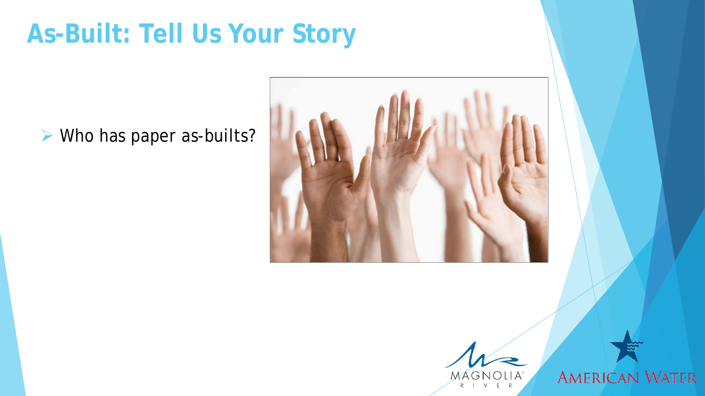# **As-Built: Tell Us Your Story**

▶ Who has paper as-builts?



Mágnolia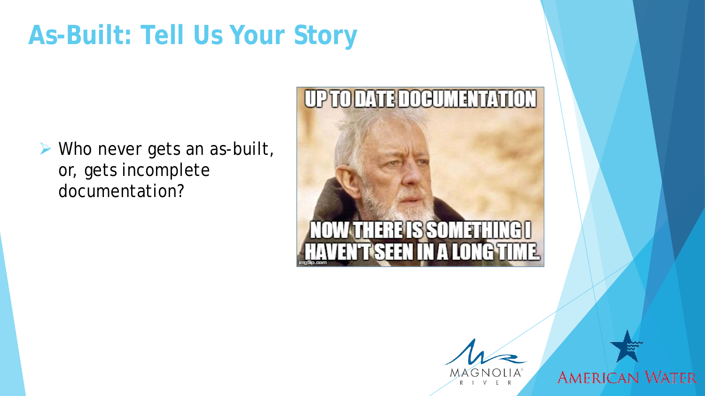# **As-Built: Tell Us Your Story**

 Who never gets an as-built, or, gets incomplete documentation?

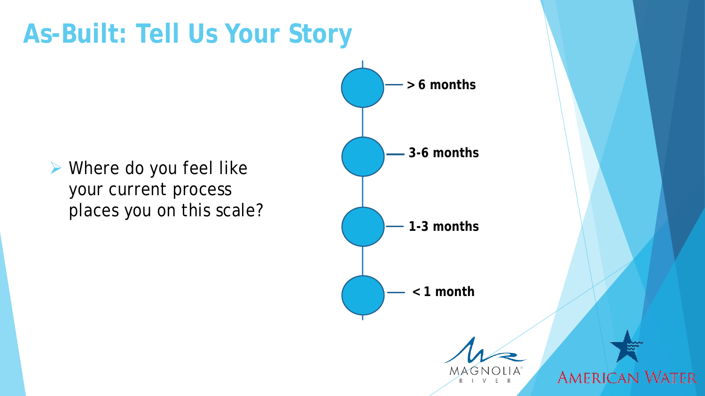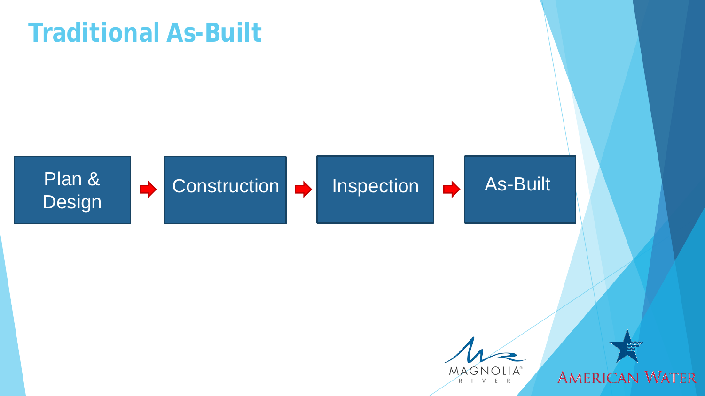# **Traditional As-Built**



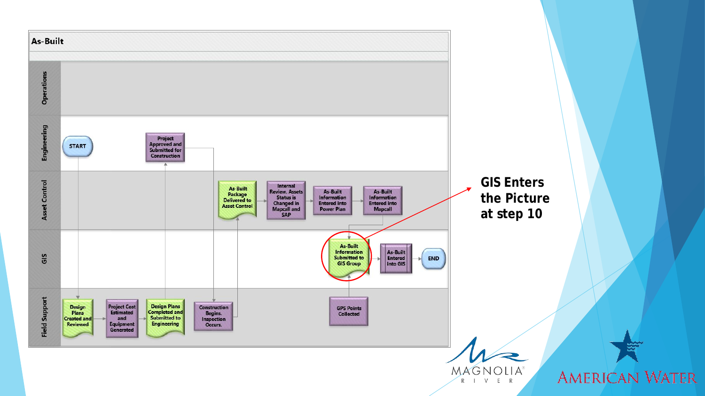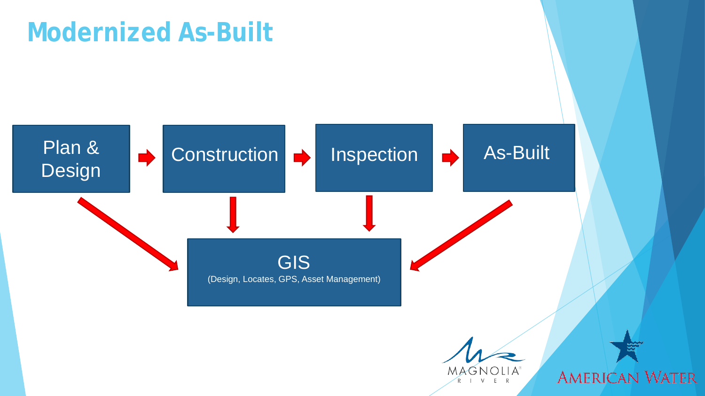# **Modernized As-Built**

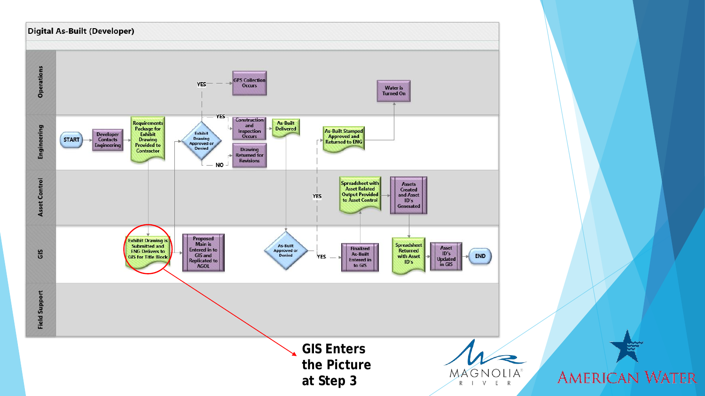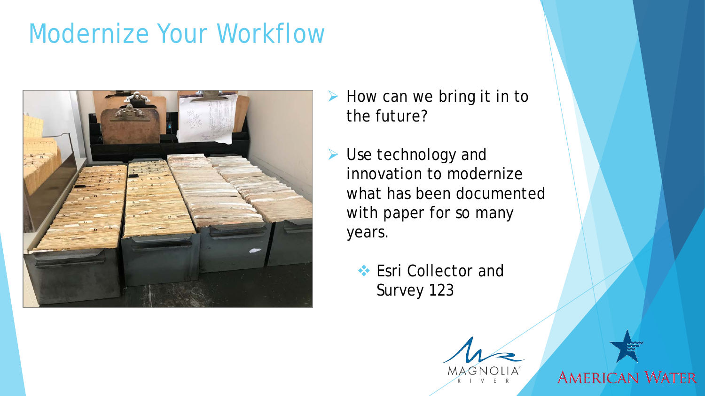## Modernize Your Workflow



- $\triangleright$  How can we bring it in to the future?
- ▶ Use technology and innovation to modernize what has been documented with paper for so many years.
	- **Esri Collector and** Survey 123